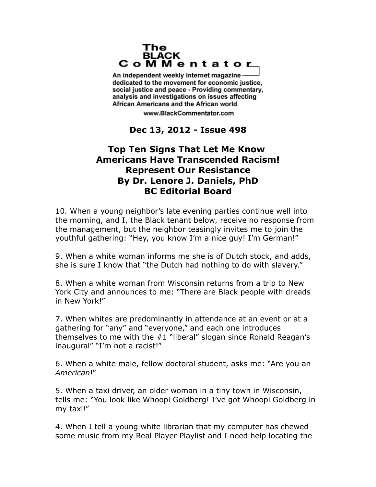## The **BLACK** CoMMentator

An independent weekly internet magazine dedicated to the movement for economic justice. social justice and peace - Providing commentary, analysis and investigations on issues affecting African Americans and the African world.

www.BlackCommentator.com

## **Dec 13, 2012 - Issue 498**

## **Top Ten Signs That Let Me Know Americans Have Transcended Racism! Represent Our Resistance By Dr. Lenore J. Daniels, PhD BC Editorial Board**

10. When a young neighbor's late evening parties continue well into the morning, and I, the Black tenant below, receive no response from the management, but the neighbor teasingly invites me to join the youthful gathering: "Hey, you know I'm a nice guy! I'm German!"

9. When a white woman informs me she is of Dutch stock, and adds, she is sure I know that "the Dutch had nothing to do with slavery."

8. When a white woman from Wisconsin returns from a trip to New York City and announces to me: "There are Black people with dreads in New York!"

7. When whites are predominantly in attendance at an event or at a gathering for "any" and "everyone," and each one introduces themselves to me with the #1 "liberal" slogan since Ronald Reagan's inaugural" "I'm not a racist!"

6. When a white male, fellow doctoral student, asks me: "Are you an *American*!"

5. When a taxi driver, an older woman in a tiny town in Wisconsin, tells me: "You look like Whoopi Goldberg! I've got Whoopi Goldberg in my taxi!"

4. When I tell a young white librarian that my computer has chewed some music from my Real Player Playlist and I need help locating the